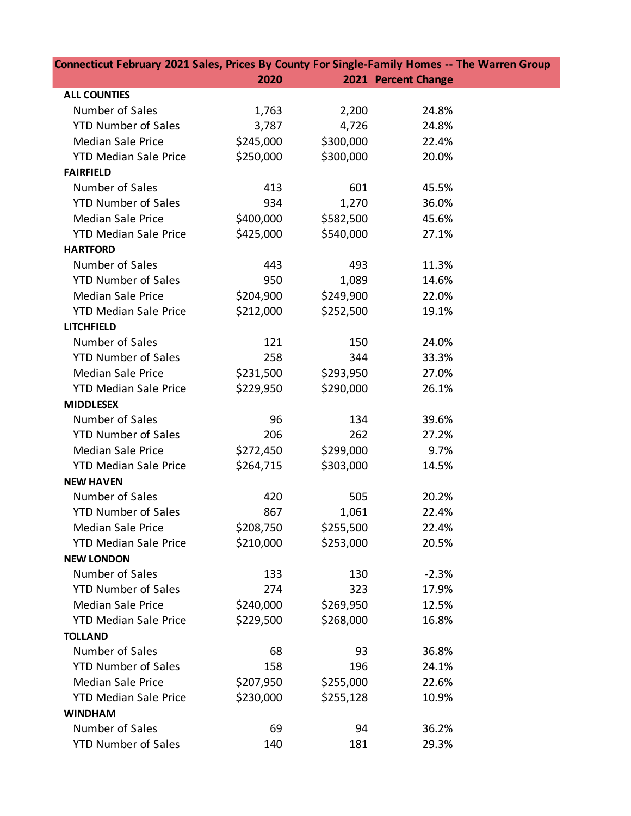| Connecticut February 2021 Sales, Prices By County For Single-Family Homes -- The Warren Group |           |           |                     |  |  |  |
|-----------------------------------------------------------------------------------------------|-----------|-----------|---------------------|--|--|--|
|                                                                                               | 2020      |           | 2021 Percent Change |  |  |  |
| <b>ALL COUNTIES</b>                                                                           |           |           |                     |  |  |  |
| Number of Sales                                                                               | 1,763     | 2,200     | 24.8%               |  |  |  |
| <b>YTD Number of Sales</b>                                                                    | 3,787     | 4,726     | 24.8%               |  |  |  |
| <b>Median Sale Price</b>                                                                      | \$245,000 | \$300,000 | 22.4%               |  |  |  |
| <b>YTD Median Sale Price</b>                                                                  | \$250,000 | \$300,000 | 20.0%               |  |  |  |
| <b>FAIRFIELD</b>                                                                              |           |           |                     |  |  |  |
| Number of Sales                                                                               | 413       | 601       | 45.5%               |  |  |  |
| <b>YTD Number of Sales</b>                                                                    | 934       | 1,270     | 36.0%               |  |  |  |
| <b>Median Sale Price</b>                                                                      | \$400,000 | \$582,500 | 45.6%               |  |  |  |
| <b>YTD Median Sale Price</b>                                                                  | \$425,000 | \$540,000 | 27.1%               |  |  |  |
| <b>HARTFORD</b>                                                                               |           |           |                     |  |  |  |
| Number of Sales                                                                               | 443       | 493       | 11.3%               |  |  |  |
| <b>YTD Number of Sales</b>                                                                    | 950       | 1,089     | 14.6%               |  |  |  |
| <b>Median Sale Price</b>                                                                      | \$204,900 | \$249,900 | 22.0%               |  |  |  |
| <b>YTD Median Sale Price</b>                                                                  | \$212,000 | \$252,500 | 19.1%               |  |  |  |
| <b>LITCHFIELD</b>                                                                             |           |           |                     |  |  |  |
| Number of Sales                                                                               | 121       | 150       | 24.0%               |  |  |  |
| <b>YTD Number of Sales</b>                                                                    | 258       | 344       | 33.3%               |  |  |  |
| <b>Median Sale Price</b>                                                                      | \$231,500 | \$293,950 | 27.0%               |  |  |  |
| <b>YTD Median Sale Price</b>                                                                  | \$229,950 | \$290,000 | 26.1%               |  |  |  |
| <b>MIDDLESEX</b>                                                                              |           |           |                     |  |  |  |
| Number of Sales                                                                               | 96        | 134       | 39.6%               |  |  |  |
| <b>YTD Number of Sales</b>                                                                    | 206       | 262       | 27.2%               |  |  |  |
| <b>Median Sale Price</b>                                                                      | \$272,450 | \$299,000 | 9.7%                |  |  |  |
| <b>YTD Median Sale Price</b>                                                                  | \$264,715 | \$303,000 | 14.5%               |  |  |  |
| <b>NEW HAVEN</b>                                                                              |           |           |                     |  |  |  |
| Number of Sales                                                                               | 420       | 505       | 20.2%               |  |  |  |
| <b>YTD Number of Sales</b>                                                                    | 867       | 1,061     | 22.4%               |  |  |  |
| <b>Median Sale Price</b>                                                                      | \$208,750 | \$255,500 | 22.4%               |  |  |  |
| <b>YTD Median Sale Price</b>                                                                  | \$210,000 | \$253,000 | 20.5%               |  |  |  |
| <b>NEW LONDON</b>                                                                             |           |           |                     |  |  |  |
| Number of Sales                                                                               | 133       | 130       | $-2.3%$             |  |  |  |
| <b>YTD Number of Sales</b>                                                                    | 274       | 323       | 17.9%               |  |  |  |
| <b>Median Sale Price</b>                                                                      | \$240,000 | \$269,950 | 12.5%               |  |  |  |
| <b>YTD Median Sale Price</b>                                                                  | \$229,500 | \$268,000 | 16.8%               |  |  |  |
| <b>TOLLAND</b>                                                                                |           |           |                     |  |  |  |
| Number of Sales                                                                               | 68        | 93        | 36.8%               |  |  |  |
| <b>YTD Number of Sales</b>                                                                    | 158       | 196       | 24.1%               |  |  |  |
| <b>Median Sale Price</b>                                                                      | \$207,950 | \$255,000 | 22.6%               |  |  |  |
| <b>YTD Median Sale Price</b>                                                                  | \$230,000 | \$255,128 | 10.9%               |  |  |  |
| <b>WINDHAM</b>                                                                                |           |           |                     |  |  |  |
| Number of Sales                                                                               | 69        | 94        | 36.2%               |  |  |  |
| <b>YTD Number of Sales</b>                                                                    | 140       | 181       | 29.3%               |  |  |  |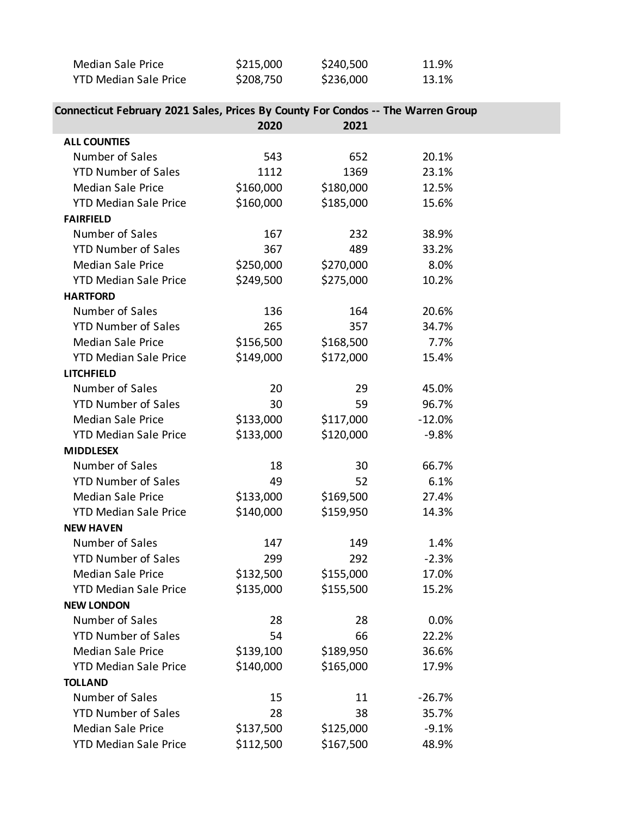| Median Sale Price            | \$215,000 | \$240,500 | 11.9% |
|------------------------------|-----------|-----------|-------|
| <b>YTD Median Sale Price</b> | \$208,750 | \$236,000 | 13.1% |

## **Connecticut February 2021 Sales, Prices By County For Condos -- The Warren Group**

|                              | 2020      | 2021      |          |  |
|------------------------------|-----------|-----------|----------|--|
| <b>ALL COUNTIES</b>          |           |           |          |  |
| Number of Sales              | 543       | 652       | 20.1%    |  |
| <b>YTD Number of Sales</b>   | 1112      | 1369      | 23.1%    |  |
| <b>Median Sale Price</b>     | \$160,000 | \$180,000 | 12.5%    |  |
| <b>YTD Median Sale Price</b> | \$160,000 | \$185,000 | 15.6%    |  |
| <b>FAIRFIELD</b>             |           |           |          |  |
| Number of Sales              | 167       | 232       | 38.9%    |  |
| <b>YTD Number of Sales</b>   | 367       | 489       | 33.2%    |  |
| <b>Median Sale Price</b>     | \$250,000 | \$270,000 | 8.0%     |  |
| <b>YTD Median Sale Price</b> | \$249,500 | \$275,000 | 10.2%    |  |
| <b>HARTFORD</b>              |           |           |          |  |
| Number of Sales              | 136       | 164       | 20.6%    |  |
| <b>YTD Number of Sales</b>   | 265       | 357       | 34.7%    |  |
| <b>Median Sale Price</b>     | \$156,500 | \$168,500 | 7.7%     |  |
| <b>YTD Median Sale Price</b> | \$149,000 | \$172,000 | 15.4%    |  |
| <b>LITCHFIELD</b>            |           |           |          |  |
| Number of Sales              | 20        | 29        | 45.0%    |  |
| <b>YTD Number of Sales</b>   | 30        | 59        | 96.7%    |  |
| <b>Median Sale Price</b>     | \$133,000 | \$117,000 | $-12.0%$ |  |
| <b>YTD Median Sale Price</b> | \$133,000 | \$120,000 | $-9.8%$  |  |
| <b>MIDDLESEX</b>             |           |           |          |  |
| Number of Sales              | 18        | 30        | 66.7%    |  |
| <b>YTD Number of Sales</b>   | 49        | 52        | 6.1%     |  |
| <b>Median Sale Price</b>     | \$133,000 | \$169,500 | 27.4%    |  |
| <b>YTD Median Sale Price</b> | \$140,000 | \$159,950 | 14.3%    |  |
| <b>NEW HAVEN</b>             |           |           |          |  |
| Number of Sales              | 147       | 149       | 1.4%     |  |
| <b>YTD Number of Sales</b>   | 299       | 292       | $-2.3%$  |  |
| <b>Median Sale Price</b>     | \$132,500 | \$155,000 | 17.0%    |  |
| <b>YTD Median Sale Price</b> | \$135,000 | \$155,500 | 15.2%    |  |
| <b>NEW LONDON</b>            |           |           |          |  |
| Number of Sales              | 28        | 28        | 0.0%     |  |
| <b>YTD Number of Sales</b>   | 54        | 66        | 22.2%    |  |
| <b>Median Sale Price</b>     | \$139,100 | \$189,950 | 36.6%    |  |
| <b>YTD Median Sale Price</b> | \$140,000 | \$165,000 | 17.9%    |  |
| <b>TOLLAND</b>               |           |           |          |  |
| Number of Sales              | 15        | 11        | $-26.7%$ |  |
| <b>YTD Number of Sales</b>   | 28        | 38        | 35.7%    |  |
| <b>Median Sale Price</b>     | \$137,500 | \$125,000 | $-9.1%$  |  |
| <b>YTD Median Sale Price</b> | \$112,500 | \$167,500 | 48.9%    |  |